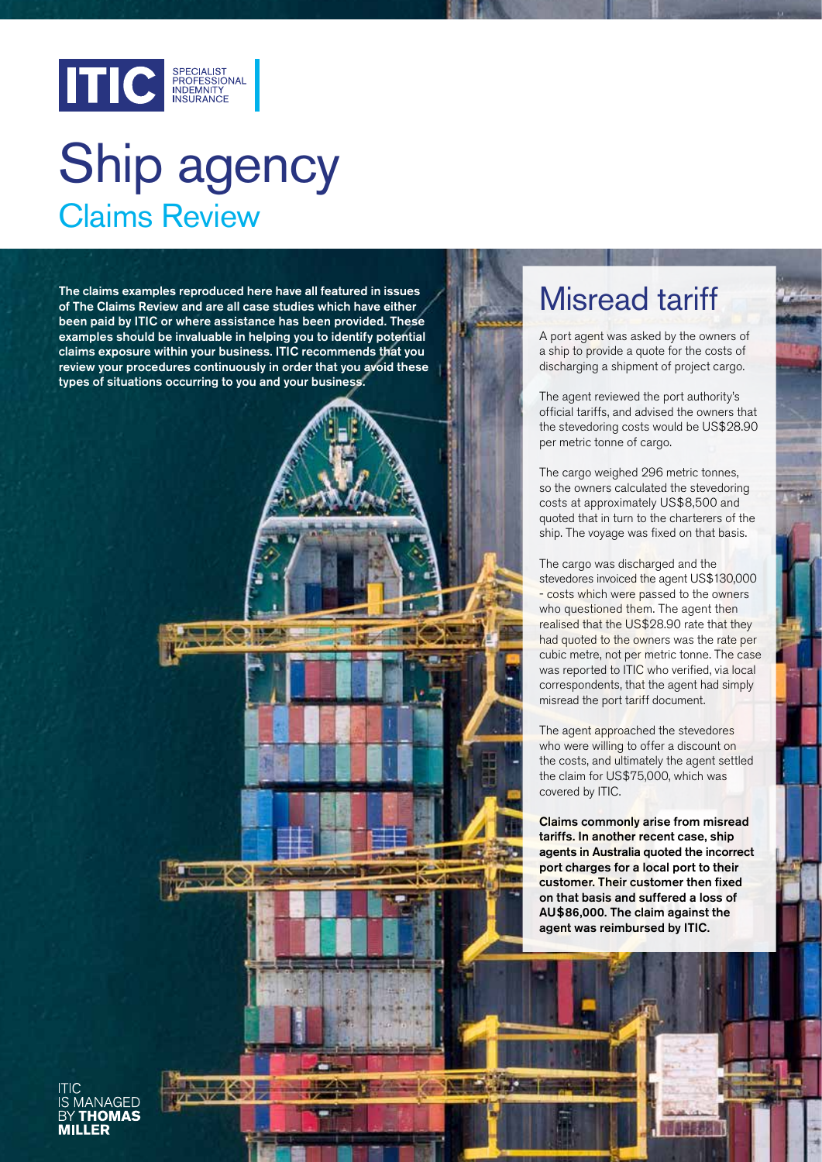

# Claims Review Ship agency

The claims examples reproduced here have all featured in issues of The Claims Review and are all case studies which have either been paid by ITIC or where assistance has been provided. These examples should be invaluable in helping you to identify potential claims exposure within your business. ITIC recommends that you review your procedures continuously in order that you avoid these types of situations occurring to you and your business.

**KON** 

### Misread tariff

A port agent was asked by the owners of a ship to provide a quote for the costs of discharging a shipment of project cargo.

The agent reviewed the port authority's official tariffs, and advised the owners that the stevedoring costs would be US\$28.90 per metric tonne of cargo.

The cargo weighed 296 metric tonnes, so the owners calculated the stevedoring costs at approximately US\$8,500 and quoted that in turn to the charterers of the ship. The voyage was fixed on that basis.

The cargo was discharged and the stevedores invoiced the agent US\$130,000 - costs which were passed to the owners who questioned them. The agent then realised that the US\$28.90 rate that they had quoted to the owners was the rate per cubic metre, not per metric tonne. The case was reported to ITIC who verified, via local correspondents, that the agent had simply misread the port tariff document.

The agent approached the stevedores who were willing to offer a discount on the costs, and ultimately the agent settled the claim for US\$75,000, which was covered by ITIC.

Claims commonly arise from misread tariffs. In another recent case, ship agents in Australia quoted the incorrect port charges for a local port to their customer. Their customer then fixed on that basis and suffered a loss of AU\$86,000. The claim against the agent was reimbursed by ITIC.

**IANAGED IFD**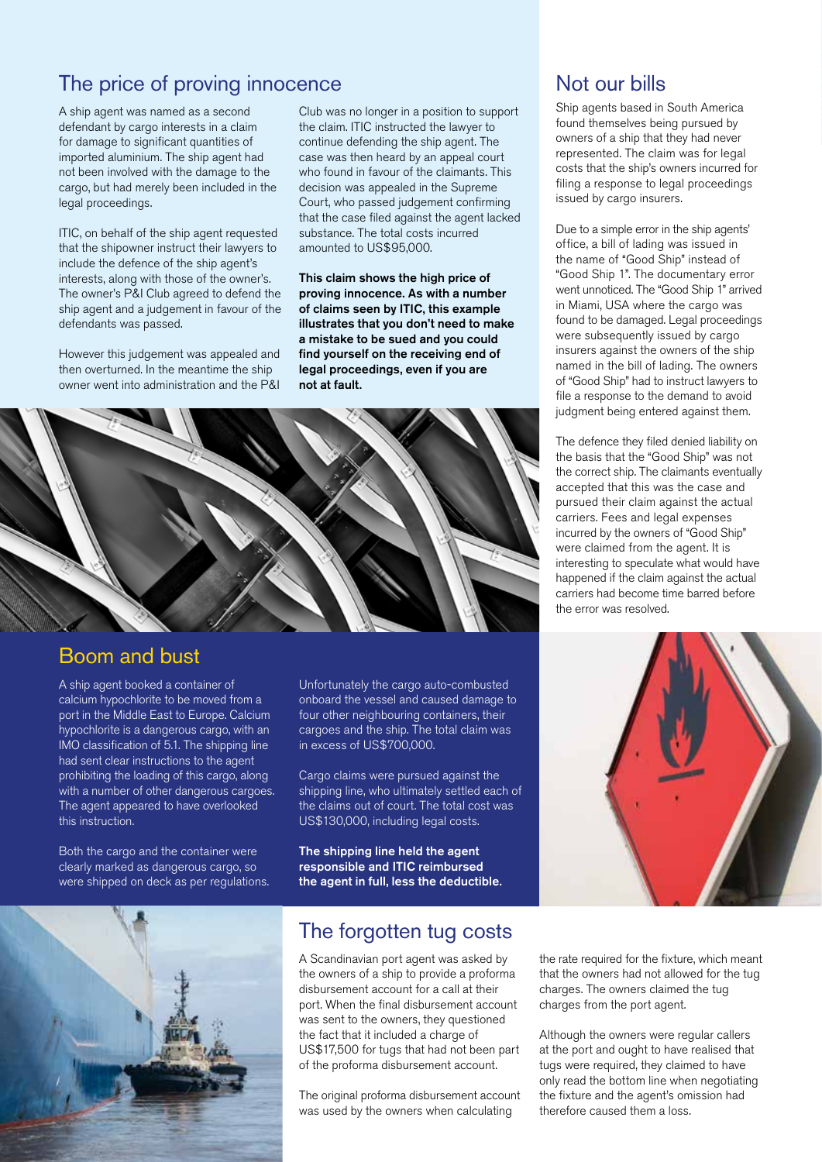#### The price of proving innocence

A ship agent was named as a second defendant by cargo interests in a claim for damage to significant quantities of imported aluminium. The ship agent had not been involved with the damage to the cargo, but had merely been included in the legal proceedings.

ITIC, on behalf of the ship agent requested that the shipowner instruct their lawyers to include the defence of the ship agent's interests, along with those of the owner's. The owner's P&I Club agreed to defend the ship agent and a judgement in favour of the defendants was passed.

However this judgement was appealed and then overturned. In the meantime the ship owner went into administration and the P&I

Club was no longer in a position to support the claim. ITIC instructed the lawyer to continue defending the ship agent. The case was then heard by an appeal court who found in favour of the claimants. This decision was appealed in the Supreme Court, who passed judgement confirming that the case filed against the agent lacked substance. The total costs incurred amounted to US\$95,000.

This claim shows the high price of proving innocence. As with a number of claims seen by ITIC, this example illustrates that you don't need to make a mistake to be sued and you could find yourself on the receiving end of legal proceedings, even if you are not at fault.



#### Boom and bust

A ship agent booked a container of calcium hypochlorite to be moved from a port in the Middle East to Europe. Calcium hypochlorite is a dangerous cargo, with an IMO classification of 5.1. The shipping line had sent clear instructions to the agent prohibiting the loading of this cargo, along with a number of other dangerous cargoes. The agent appeared to have overlooked this instruction.

Both the cargo and the container were clearly marked as dangerous cargo, so were shipped on deck as per regulations. Unfortunately the cargo auto-combusted onboard the vessel and caused damage to four other neighbouring containers, their cargoes and the ship. The total claim was in excess of US\$700,000.

Cargo claims were pursued against the shipping line, who ultimately settled each of the claims out of court. The total cost was US\$130,000, including legal costs.

The shipping line held the agent responsible and ITIC reimbursed the agent in full, less the deductible.



#### The forgotten tug costs

A Scandinavian port agent was asked by the owners of a ship to provide a proforma disbursement account for a call at their port. When the final disbursement account was sent to the owners, they questioned the fact that it included a charge of US\$17,500 for tugs that had not been part of the proforma disbursement account.

The original proforma disbursement account was used by the owners when calculating

#### Not our bills

Ship agents based in South America found themselves being pursued by owners of a ship that they had never represented. The claim was for legal costs that the ship's owners incurred for filing a response to legal proceedings issued by cargo insurers.

Due to a simple error in the ship agents' office, a bill of lading was issued in the name of "Good Ship" instead of "Good Ship 1". The documentary error went unnoticed. The "Good Ship 1" arrived in Miami, USA where the cargo was found to be damaged. Legal proceedings were subsequently issued by cargo insurers against the owners of the ship named in the bill of lading. The owners of "Good Ship" had to instruct lawyers to file a response to the demand to avoid judgment being entered against them.

The defence they filed denied liability on the basis that the "Good Ship" was not the correct ship. The claimants eventually accepted that this was the case and pursued their claim against the actual carriers. Fees and legal expenses incurred by the owners of "Good Ship" were claimed from the agent. It is interesting to speculate what would have happened if the claim against the actual carriers had become time barred before the error was resolved.



the rate required for the fixture, which meant that the owners had not allowed for the tug charges. The owners claimed the tug charges from the port agent.

Although the owners were regular callers at the port and ought to have realised that tugs were required, they claimed to have only read the bottom line when negotiating the fixture and the agent's omission had therefore caused them a loss.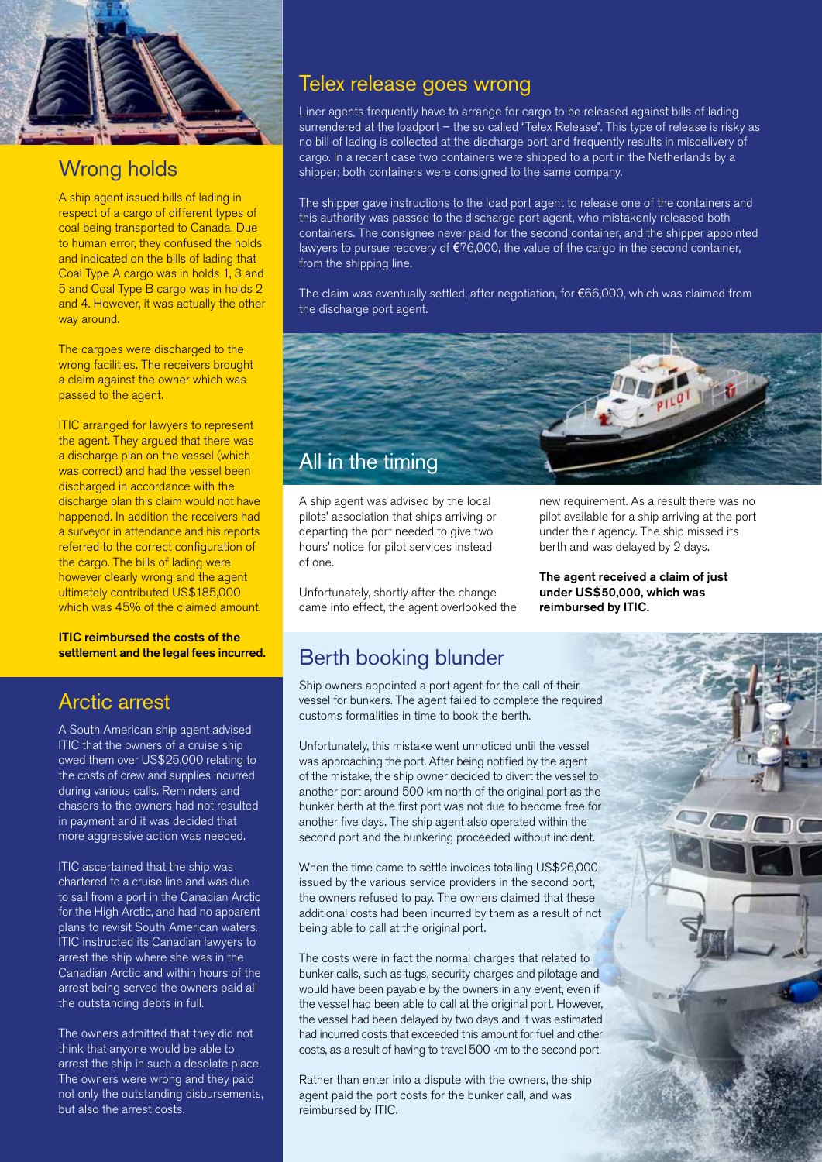

### Wrong holds

A ship agent issued bills of lading in respect of a cargo of different types of coal being transported to Canada. Due to human error, they confused the holds and indicated on the bills of lading that Coal Type A cargo was in holds 1, 3 and 5 and Coal Type B cargo was in holds 2 and 4. However, it was actually the other way around.

The cargoes were discharged to the wrong facilities. The receivers brought a claim against the owner which was passed to the agent.

ITIC arranged for lawyers to represent the agent. They argued that there was a discharge plan on the vessel (which was correct) and had the vessel been discharged in accordance with the discharge plan this claim would not have happened. In addition the receivers had a surveyor in attendance and his reports referred to the correct configuration of the cargo. The bills of lading were however clearly wrong and the agent ultimately contributed US\$185,000 which was 45% of the claimed amount.

ITIC reimbursed the costs of the settlement and the legal fees incurred.

#### Arctic arrest

A South American ship agent advised ITIC that the owners of a cruise ship owed them over US\$25,000 relating to the costs of crew and supplies incurred during various calls. Reminders and chasers to the owners had not resulted in payment and it was decided that more aggressive action was needed.

ITIC ascertained that the ship was chartered to a cruise line and was due to sail from a port in the Canadian Arctic for the High Arctic, and had no apparent plans to revisit South American waters. ITIC instructed its Canadian lawyers to arrest the ship where she was in the Canadian Arctic and within hours of the arrest being served the owners paid all the outstanding debts in full.

The owners admitted that they did not think that anyone would be able to arrest the ship in such a desolate place. The owners were wrong and they paid not only the outstanding disbursements, but also the arrest costs.

#### Telex release goes wrong

Liner agents frequently have to arrange for cargo to be released against bills of lading surrendered at the loadport – the so called "Telex Release". This type of release is risky as no bill of lading is collected at the discharge port and frequently results in misdelivery of cargo. In a recent case two containers were shipped to a port in the Netherlands by a shipper; both containers were consigned to the same company.

The shipper gave instructions to the load port agent to release one of the containers and this authority was passed to the discharge port agent, who mistakenly released both containers. The consignee never paid for the second container, and the shipper appointed lawyers to pursue recovery of  $E76,000$ , the value of the cargo in the second container, from the shipping line.

The claim was eventually settled, after negotiation, for €66,000, which was claimed from the discharge port agent.



A ship agent was advised by the local pilots' association that ships arriving or departing the port needed to give two hours' notice for pilot services instead of one.

Unfortunately, shortly after the change came into effect, the agent overlooked the new requirement. As a result there was no pilot available for a ship arriving at the port under their agency. The ship missed its berth and was delayed by 2 days.

The agent received a claim of just under US\$50,000, which was reimbursed by ITIC.

#### Berth booking blunder

Ship owners appointed a port agent for the call of their vessel for bunkers. The agent failed to complete the required customs formalities in time to book the berth.

Unfortunately, this mistake went unnoticed until the vessel was approaching the port. After being notified by the agent of the mistake, the ship owner decided to divert the vessel to another port around 500 km north of the original port as the bunker berth at the first port was not due to become free for another five days. The ship agent also operated within the second port and the bunkering proceeded without incident.

When the time came to settle invoices totalling US\$26,000 issued by the various service providers in the second port, the owners refused to pay. The owners claimed that these additional costs had been incurred by them as a result of not being able to call at the original port.

The costs were in fact the normal charges that related to bunker calls, such as tugs, security charges and pilotage and would have been payable by the owners in any event, even if the vessel had been able to call at the original port. However, the vessel had been delayed by two days and it was estimated had incurred costs that exceeded this amount for fuel and other costs, as a result of having to travel 500 km to the second port.

Rather than enter into a dispute with the owners, the ship agent paid the port costs for the bunker call, and was reimbursed by ITIC.